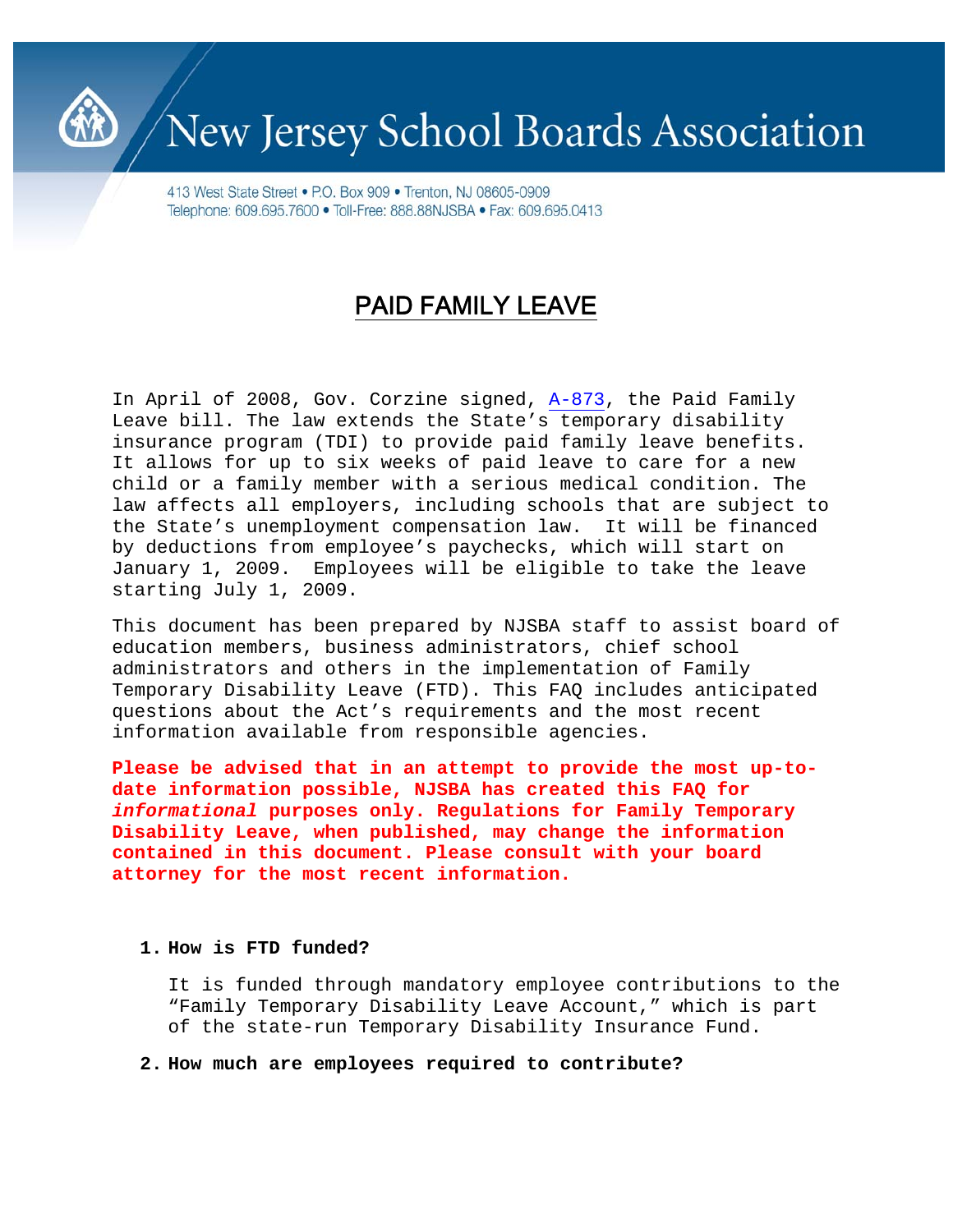

# New Jersey School Boards Association

413 West State Street • P.O. Box 909 • Trenton, NJ 08605-0909 Telephone: 609.695.7600 · Toll-Free: 888.88NJSBA · Fax: 609.695.0413

# PAID FAMILY LEAVE

In April of 2008, Gov. Corzine signed, [A-873,](http://www.njleg.state.nj.us/2008/Bills/A1000/873_R1.HTM) the Paid Family Leave bill. The law extends the State's temporary disability insurance program (TDI) to provide paid family leave benefits. It allows for up to six weeks of paid leave to care for a new child or a family member with a serious medical condition. The law affects all employers, including schools that are subject to the State's unemployment compensation law. It will be financed by deductions from employee's paychecks, which will start on January 1, 2009. Employees will be eligible to take the leave starting July 1, 2009.

This document has been prepared by NJSBA staff to assist board of education members, business administrators, chief school administrators and others in the implementation of Family Temporary Disability Leave (FTD). This FAQ includes anticipated questions about the Act's requirements and the most recent information available from responsible agencies.

**Please be advised that in an attempt to provide the most up-todate information possible, NJSBA has created this FAQ for** *informational* **purposes only. Regulations for Family Temporary Disability Leave, when published, may change the information contained in this document. Please consult with your board attorney for the most recent information.** 

#### **1. How is FTD funded?**

It is funded through mandatory employee contributions to the "Family Temporary Disability Leave Account," which is part of the state-run Temporary Disability Insurance Fund.

# **2. How much are employees required to contribute?**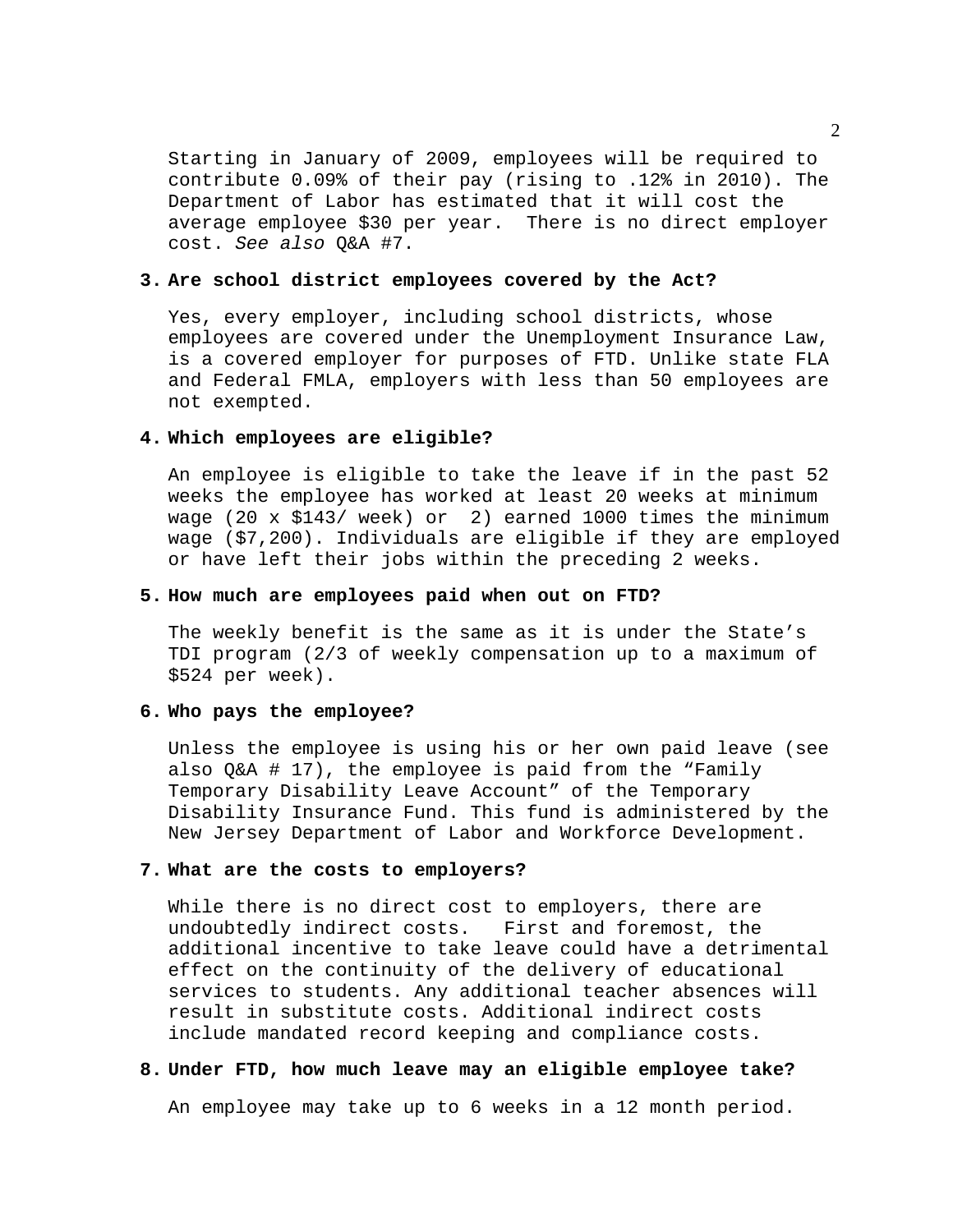Starting in January of 2009, employees will be required to contribute 0.09% of their pay (rising to .12% in 2010). The Department of Labor has estimated that it will cost the average employee \$30 per year. There is no direct employer cost. *See also* Q&A #7.

#### **3. Are school district employees covered by the Act?**

Yes, every employer, including school districts, whose employees are covered under the Unemployment Insurance Law, is a covered employer for purposes of FTD. Unlike state FLA and Federal FMLA, employers with less than 50 employees are not exempted.

#### **4. Which employees are eligible?**

An employee is eligible to take the leave if in the past 52 weeks the employee has worked at least 20 weeks at minimum wage (20 x \$143/ week) or 2) earned 1000 times the minimum wage (\$7,200). Individuals are eligible if they are employed or have left their jobs within the preceding 2 weeks.

#### **5. How much are employees paid when out on FTD?**

The weekly benefit is the same as it is under the State's TDI program (2/3 of weekly compensation up to a maximum of \$524 per week).

# **6. Who pays the employee?**

Unless the employee is using his or her own paid leave (see also Q&A # 17), the employee is paid from the "Family Temporary Disability Leave Account" of the Temporary Disability Insurance Fund. This fund is administered by the New Jersey Department of Labor and Workforce Development.

#### **7. What are the costs to employers?**

While there is no direct cost to employers, there are undoubtedly indirect costs. First and foremost, the additional incentive to take leave could have a detrimental effect on the continuity of the delivery of educational services to students. Any additional teacher absences will result in substitute costs. Additional indirect costs include mandated record keeping and compliance costs.

### **8. Under FTD, how much leave may an eligible employee take?**

An employee may take up to 6 weeks in a 12 month period.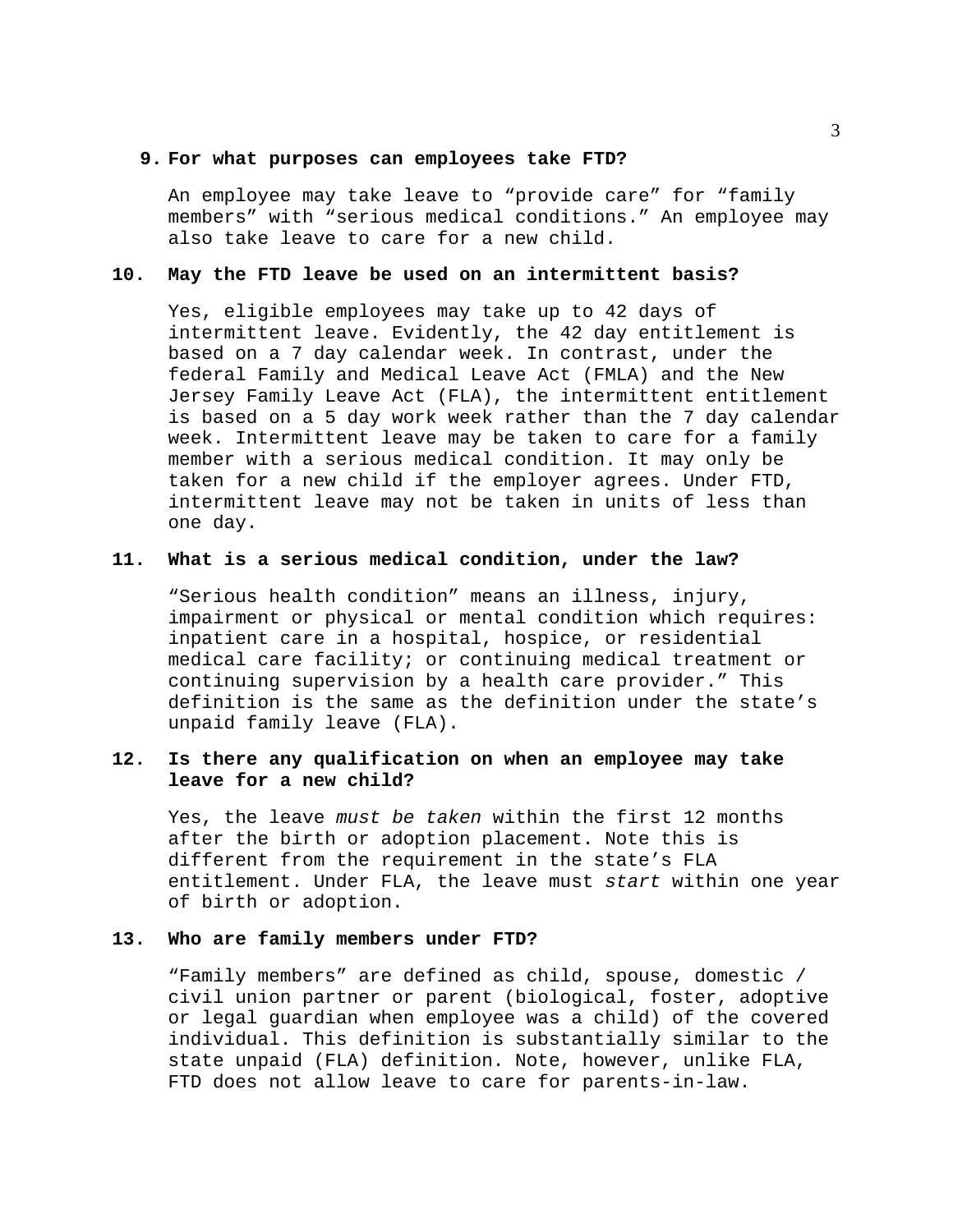#### **9. For what purposes can employees take FTD?**

An employee may take leave to "provide care" for "family members" with "serious medical conditions." An employee may also take leave to care for a new child.

## **10. May the FTD leave be used on an intermittent basis?**

Yes, eligible employees may take up to 42 days of intermittent leave. Evidently, the 42 day entitlement is based on a 7 day calendar week. In contrast, under the federal Family and Medical Leave Act (FMLA) and the New Jersey Family Leave Act (FLA), the intermittent entitlement is based on a 5 day work week rather than the 7 day calendar week. Intermittent leave may be taken to care for a family member with a serious medical condition. It may only be taken for a new child if the employer agrees. Under FTD, intermittent leave may not be taken in units of less than one day.

#### **11. What is a serious medical condition, under the law?**

"Serious health condition" means an illness, injury, impairment or physical or mental condition which requires: inpatient care in a hospital, hospice, or residential medical care facility; or continuing medical treatment or continuing supervision by a health care provider." This definition is the same as the definition under the state's unpaid family leave (FLA).

# **12. Is there any qualification on when an employee may take leave for a new child?**

Yes, the leave *must be taken* within the first 12 months after the birth or adoption placement. Note this is different from the requirement in the state's FLA entitlement. Under FLA, the leave must *start* within one year of birth or adoption.

# **13. Who are family members under FTD?**

"Family members" are defined as child, spouse, domestic / civil union partner or parent (biological, foster, adoptive or legal guardian when employee was a child) of the covered individual. This definition is substantially similar to the state unpaid (FLA) definition. Note, however, unlike FLA, FTD does not allow leave to care for parents-in-law.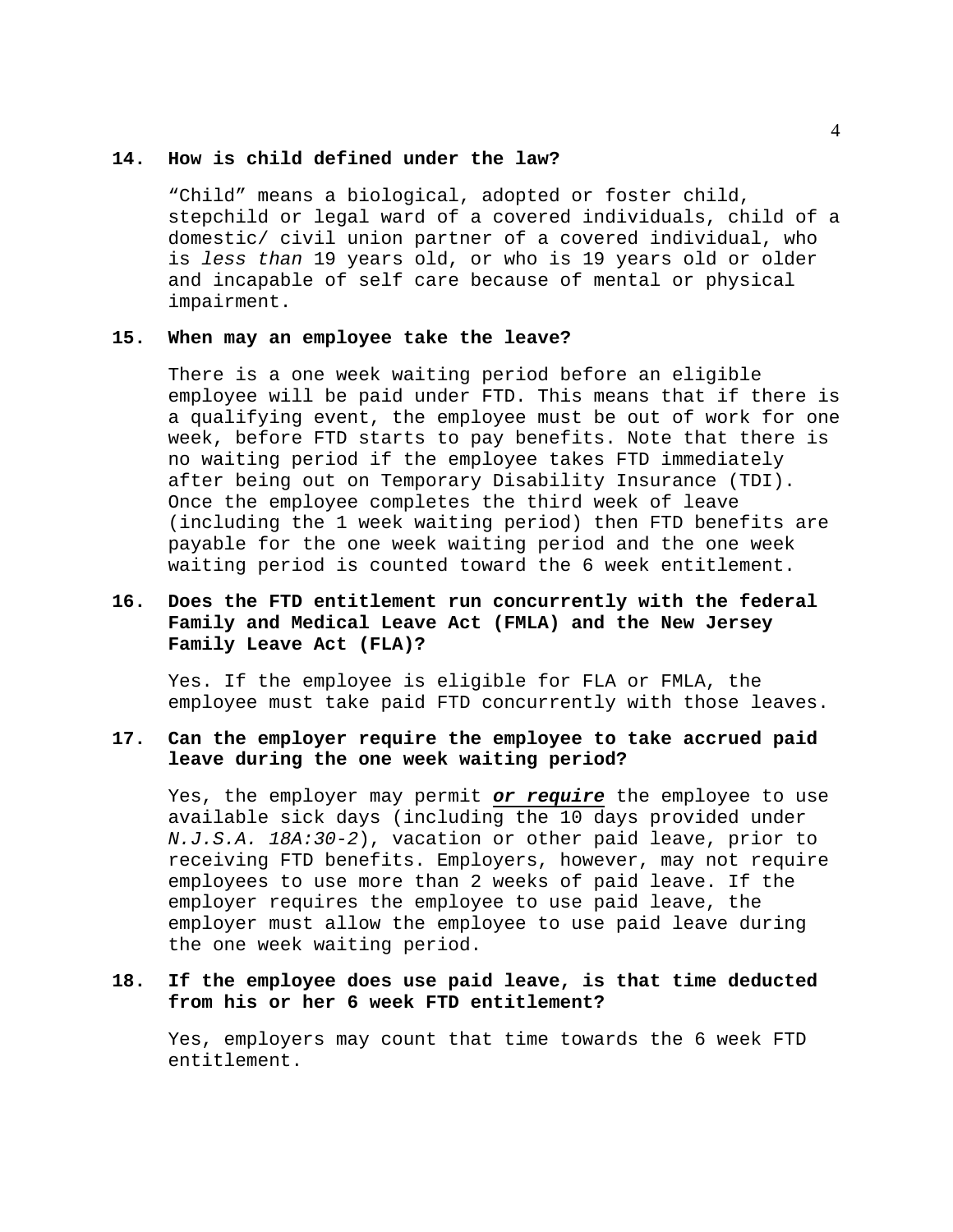#### **14. How is child defined under the law?**

"Child" means a biological, adopted or foster child, stepchild or legal ward of a covered individuals, child of a domestic/ civil union partner of a covered individual, who is *less than* 19 years old, or who is 19 years old or older and incapable of self care because of mental or physical impairment.

# **15. When may an employee take the leave?**

There is a one week waiting period before an eligible employee will be paid under FTD. This means that if there is a qualifying event, the employee must be out of work for one week, before FTD starts to pay benefits. Note that there is no waiting period if the employee takes FTD immediately after being out on Temporary Disability Insurance (TDI). Once the employee completes the third week of leave (including the 1 week waiting period) then FTD benefits are payable for the one week waiting period and the one week waiting period is counted toward the 6 week entitlement.

# **16. Does the FTD entitlement run concurrently with the federal Family and Medical Leave Act (FMLA) and the New Jersey Family Leave Act (FLA)?**

Yes. If the employee is eligible for FLA or FMLA, the employee must take paid FTD concurrently with those leaves.

# **17. Can the employer require the employee to take accrued paid leave during the one week waiting period?**

Yes, the employer may permit *or require* the employee to use available sick days (including the 10 days provided under *N.J.S.A. 18A:30-2*), vacation or other paid leave, prior to receiving FTD benefits. Employers, however, may not require employees to use more than 2 weeks of paid leave. If the employer requires the employee to use paid leave, the employer must allow the employee to use paid leave during the one week waiting period.

# **18. If the employee does use paid leave, is that time deducted from his or her 6 week FTD entitlement?**

Yes, employers may count that time towards the 6 week FTD entitlement.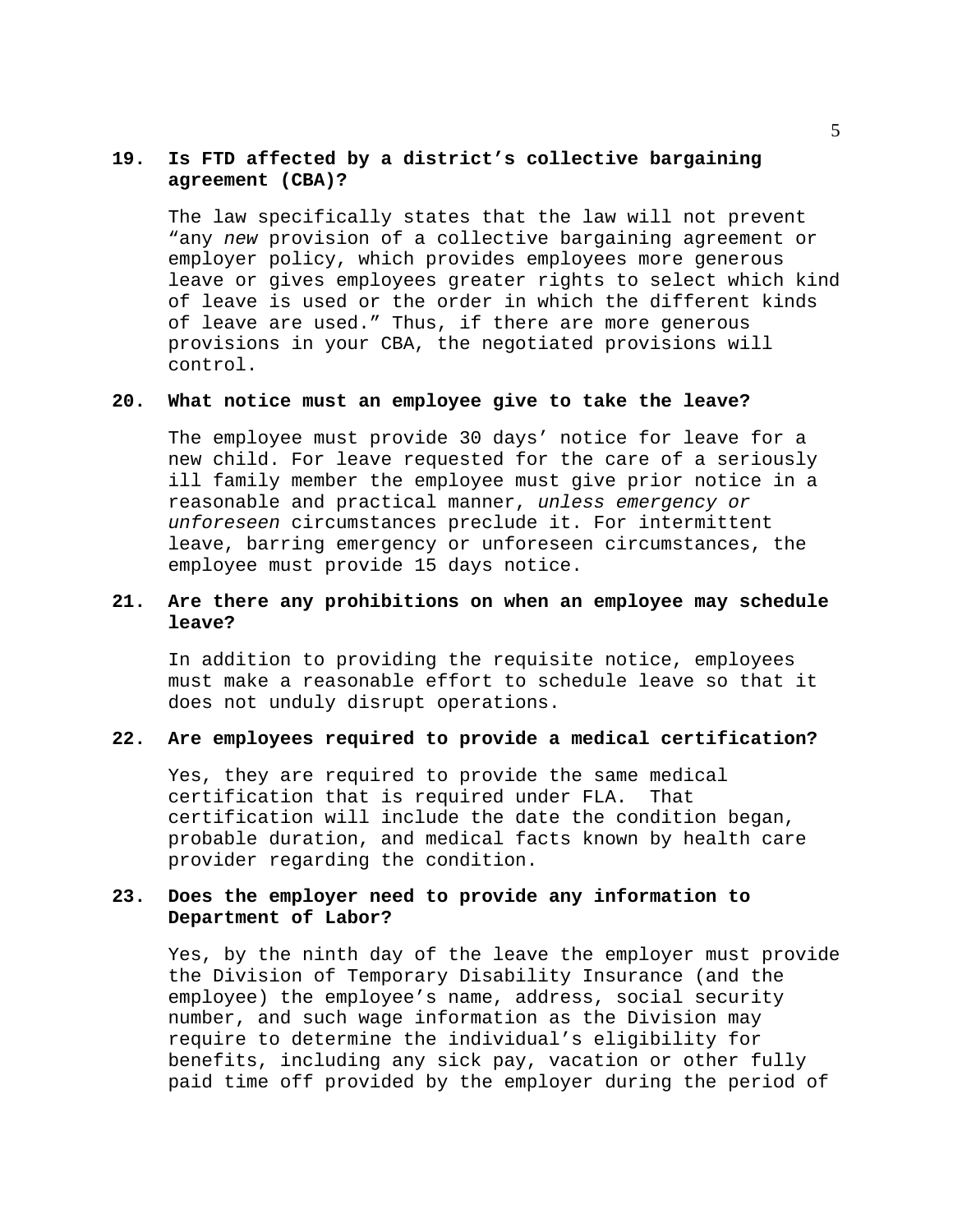# **19. Is FTD affected by a district's collective bargaining agreement (CBA)?**

The law specifically states that the law will not prevent "any *new* provision of a collective bargaining agreement or employer policy, which provides employees more generous leave or gives employees greater rights to select which kind of leave is used or the order in which the different kinds of leave are used." Thus, if there are more generous provisions in your CBA, the negotiated provisions will control.

# **20. What notice must an employee give to take the leave?**

The employee must provide 30 days' notice for leave for a new child. For leave requested for the care of a seriously ill family member the employee must give prior notice in a reasonable and practical manner, *unless emergency or unforeseen* circumstances preclude it. For intermittent leave, barring emergency or unforeseen circumstances, the employee must provide 15 days notice.

# **21. Are there any prohibitions on when an employee may schedule leave?**

In addition to providing the requisite notice, employees must make a reasonable effort to schedule leave so that it does not unduly disrupt operations.

# **22. Are employees required to provide a medical certification?**

Yes, they are required to provide the same medical certification that is required under FLA. That certification will include the date the condition began, probable duration, and medical facts known by health care provider regarding the condition.

# **23. Does the employer need to provide any information to Department of Labor?**

Yes, by the ninth day of the leave the employer must provide the Division of Temporary Disability Insurance (and the employee) the employee's name, address, social security number, and such wage information as the Division may require to determine the individual's eligibility for benefits, including any sick pay, vacation or other fully paid time off provided by the employer during the period of